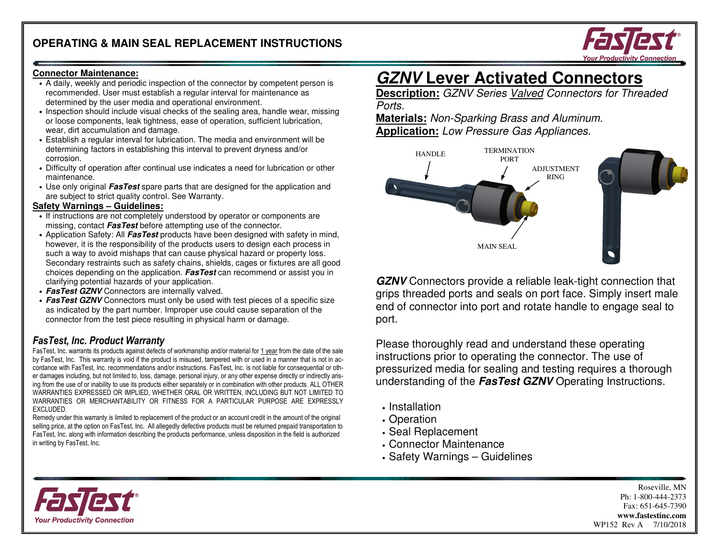

#### **Connector Maintenance:**

- A daily, weekly and periodic inspection of the connector by competent person is recommended. User must establish a regular interval for maintenance as determined by the user media and operational environment.
- Inspection should include visual checks of the sealing area, handle wear, missing or loose components, leak tightness, ease of operation, sufficient lubrication, wear, dirt accumulation and damage.
- Establish a regular interval for lubrication. The media and environment will be determining factors in establishing this interval to prevent dryness and/or corrosion.
- Difficulty of operation after continual use indicates a need for lubrication or other maintenance.
- Use only original **FasTest** spare parts that are designed for the application and are subject to strict quality control. See Warranty.

#### **Safety Warnings – Guidelines:**

- If instructions are not completely understood by operator or components are missing, contact **FasTest** before attempting use of the connector.
- Application Safety: All **FasTest** products have been designed with safety in mind, however, it is the responsibility of the products users to design each process in such a way to avoid mishaps that can cause physical hazard or property loss. Secondary restraints such as safety chains, shields, cages or fixtures are all good choices depending on the application. **FasTest** can recommend or assist you in clarifying potential hazards of your application.
- **FasTest GZNV** Connectors are internally valved.
- **FasTest GZNV** Connectors must only be used with test pieces of a specific size as indicated by the part number. Improper use could cause separation of the connector from the test piece resulting in physical harm or damage.

# FasTest, Inc. Product Warranty

FasTest, Inc. warrants its products against defects of workmanship and/or material for <u>1 year</u> from the date of the sale by FasTest, Inc. This warranty is void if the product is misused, tampered with or used in a manner that is not in accordance with FasTest, Inc. recommendations and/or instructions. FasTest, Inc. is not liable for consequential or other damages including, but not limited to, loss, damage, personal injury, or any other expense directly or indirectly arising from the use of or inability to use its products either separately or in combination with other products. ALL OTHER WARRANTIES EXPRESSED OR IMPLIED, WHETHER ORAL OR WRITTEN, INCLUDING BUT NOT LIMITED TO WARRANTIES OR MERCHANTABILITY OR FITNESS FOR A PARTICULAR PURPOSE ARE EXPRESSLY EXCLUDED.

 Remedy under this warranty is limited to replacement of the product or an account credit in the amount of the original selling price, at the option on FasTest, Inc. All allegedly defective products must be returned prepaid transportation to FasTest, Inc. along with information describing the products performance, unless disposition in the field is authorized in writing by FasTest, Inc.

# **GZNV Lever Activated Connectors**

 **Description:** GZNV Series Valved Connectors for Threaded Ports.

 **Materials:** Non-Sparking Brass and Aluminum. **Application:** Low Pressure Gas Appliances.



**GZNV** Connectors provide a reliable leak-tight connection that grips threaded ports and seals on port face. Simply insert male end of connector into port and rotate handle to engage seal to port.

Please thoroughly read and understand these operating instructions prior to operating the connector. The use of pressurized media for sealing and testing requires a thorough understanding of the **FasTest GZNV** Operating Instructions.

- Installation
- Operation
- Seal Replacement
- Connector Maintenance
- Safety Warnings Guidelines

Roseville, MN Ph: 1-800-444-2373 Fax: 651-645-7390 **www.fastestinc.com** WP152 Rev A 7/10/2018

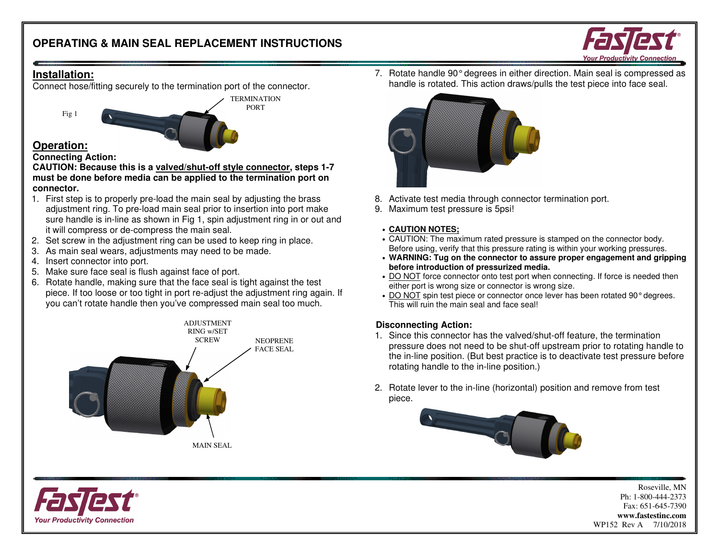PORT



# **Installation:**

Connect hose/fitting securely to the termination port of the connector.



# **Operation:**

## **Connecting Action:**

 **CAUTION: Because this is a valved/shut-off style connector, steps 1-7 must be done before media can be applied to the termination port on connector.** 

- 1. First step is to properly pre-load the main seal by adjusting the brass adjustment ring. To pre-load main seal prior to insertion into port make sure handle is in-line as shown in Fig 1, spin adjustment ring in or out and it will compress or de-compress the main seal.
- 2. Set screw in the adjustment ring can be used to keep ring in place.
- 3. As main seal wears, adjustments may need to be made.
- 4. Insert connector into port.
- 5. Make sure face seal is flush against face of port.
- 6. Rotate handle, making sure that the face seal is tight against the test piece. If too loose or too tight in port re-adjust the adjustment ring again. If you can't rotate handle then you've compressed main seal too much.





7. Rotate handle 90° degrees in either direction. Main seal is compressed as handle is rotated. This action draws/pulls the test piece into face seal.



- 8. Activate test media through connector termination port.
- 9. Maximum test pressure is 5psi!

#### • **CAUTION NOTES;**

- CAUTION: The maximum rated pressure is stamped on the connector body. Before using, verify that this pressure rating is within your working pressures.
- **WARNING: Tug on the connector to assure proper engagement and gripping before introduction of pressurized media.**
- DO NOT force connector onto test port when connecting. If force is needed then either port is wrong size or connector is wrong size.
- DO NOT spin test piece or connector once lever has been rotated 90° degrees. This will ruin the main seal and face seal!

## **Disconnecting Action:**

- 1. Since this connector has the valved/shut-off feature, the termination pressure does not need to be shut-off upstream prior to rotating handle to the in-line position. (But best practice is to deactivate test pressure before rotating handle to the in-line position.)
- 2. Rotate lever to the in-line (horizontal) position and remove from test piece.



Roseville, MN Ph: 1-800-444-2373 Fax: 651-645-7390 **www.fastestinc.com** WP152 Rev A 7/10/2018